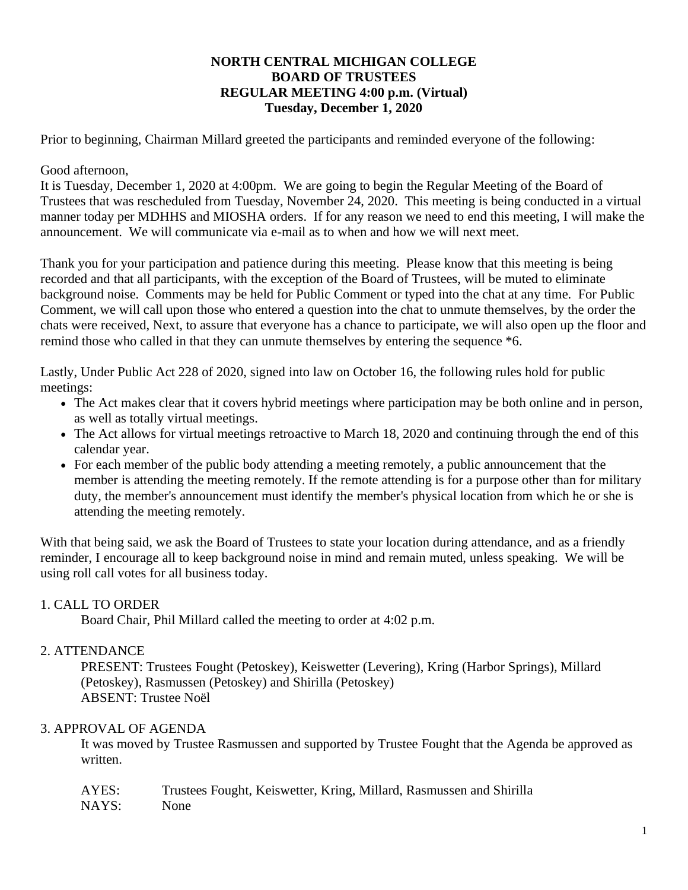### **NORTH CENTRAL MICHIGAN COLLEGE BOARD OF TRUSTEES REGULAR MEETING 4:00 p.m. (Virtual) Tuesday, December 1, 2020**

Prior to beginning, Chairman Millard greeted the participants and reminded everyone of the following:

### Good afternoon,

It is Tuesday, December 1, 2020 at 4:00pm. We are going to begin the Regular Meeting of the Board of Trustees that was rescheduled from Tuesday, November 24, 2020. This meeting is being conducted in a virtual manner today per MDHHS and MIOSHA orders. If for any reason we need to end this meeting, I will make the announcement. We will communicate via e-mail as to when and how we will next meet.

Thank you for your participation and patience during this meeting. Please know that this meeting is being recorded and that all participants, with the exception of the Board of Trustees, will be muted to eliminate background noise. Comments may be held for Public Comment or typed into the chat at any time. For Public Comment, we will call upon those who entered a question into the chat to unmute themselves, by the order the chats were received, Next, to assure that everyone has a chance to participate, we will also open up the floor and remind those who called in that they can unmute themselves by entering the sequence  $*6$ .

Lastly, Under Public Act 228 of 2020, signed into law on October 16, the following rules hold for public meetings:

- The Act makes clear that it covers hybrid meetings where participation may be both online and in person, as well as totally virtual meetings.
- The Act allows for virtual meetings retroactive to March 18, 2020 and continuing through the end of this calendar year.
- For each member of the public body attending a meeting remotely, a public announcement that the member is attending the meeting remotely. If the remote attending is for a purpose other than for military duty, the member's announcement must identify the member's physical location from which he or she is attending the meeting remotely.

With that being said, we ask the Board of Trustees to state your location during attendance, and as a friendly reminder, I encourage all to keep background noise in mind and remain muted, unless speaking. We will be using roll call votes for all business today.

# 1. CALL TO ORDER

Board Chair, Phil Millard called the meeting to order at 4:02 p.m.

# 2. ATTENDANCE

PRESENT: Trustees Fought (Petoskey), Keiswetter (Levering), Kring (Harbor Springs), Millard (Petoskey), Rasmussen (Petoskey) and Shirilla (Petoskey) ABSENT: Trustee Noël

# 3. APPROVAL OF AGENDA

It was moved by Trustee Rasmussen and supported by Trustee Fought that the Agenda be approved as written.

| AYES: | Trustees Fought, Keiswetter, Kring, Millard, Rasmussen and Shirilla |  |  |
|-------|---------------------------------------------------------------------|--|--|
| NAYS: | None                                                                |  |  |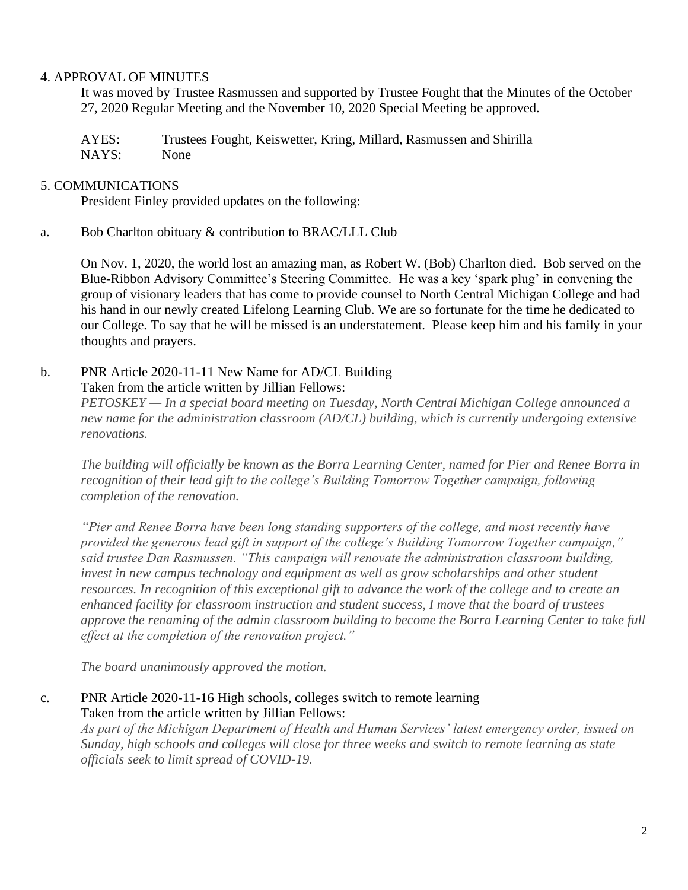### 4. APPROVAL OF MINUTES

It was moved by Trustee Rasmussen and supported by Trustee Fought that the Minutes of the October 27, 2020 Regular Meeting and the November 10, 2020 Special Meeting be approved.

AYES: Trustees Fought, Keiswetter, Kring, Millard, Rasmussen and Shirilla NAYS: None

### 5. COMMUNICATIONS

President Finley provided updates on the following:

a. Bob Charlton obituary & contribution to BRAC/LLL Club

On Nov. 1, 2020, the world lost an amazing man, as Robert W. (Bob) Charlton died. Bob served on the Blue-Ribbon Advisory Committee's Steering Committee. He was a key 'spark plug' in convening the group of visionary leaders that has come to provide counsel to North Central Michigan College and had his hand in our newly created Lifelong Learning Club. We are so fortunate for the time he dedicated to our College. To say that he will be missed is an understatement. Please keep him and his family in your thoughts and prayers.

b. PNR Article 2020-11-11 New Name for AD/CL Building Taken from the article written by Jillian Fellows:

*PETOSKEY — In a special board meeting on Tuesday, North Central Michigan College announced a new name for the administration classroom (AD/CL) building, which is currently undergoing extensive renovations.*

*The building will officially be known as the Borra Learning Center, named for Pier and Renee Borra in recognition of their lead gift to the college's Building Tomorrow Together campaign, following completion of the renovation.*

*"Pier and Renee Borra have been long standing supporters of the college, and most recently have provided the generous lead gift in support of the college's Building Tomorrow Together campaign," said trustee Dan Rasmussen. "This campaign will renovate the administration classroom building,*  invest in new campus technology and equipment as well as grow scholarships and other student *resources. In recognition of this exceptional gift to advance the work of the college and to create an enhanced facility for classroom instruction and student success, I move that the board of trustees approve the renaming of the admin classroom building to become the Borra Learning Center to take full effect at the completion of the renovation project."*

*The board unanimously approved the motion.*

### c. PNR Article 2020-11-16 High schools, colleges switch to remote learning Taken from the article written by Jillian Fellows:

*As part of the Michigan Department of Health and Human Services' latest emergency order, issued on Sunday, high schools and colleges will close for three weeks and switch to remote learning as state officials seek to limit spread of COVID-19.*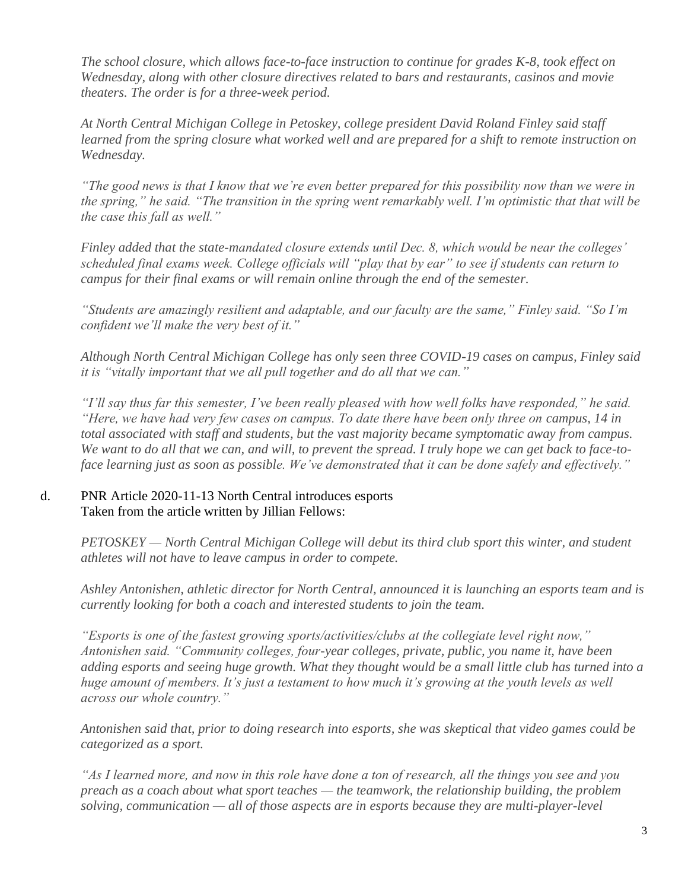*The school closure, which allows face-to-face instruction to continue for grades K-8, took effect on Wednesday, along with other closure directives related to bars and restaurants, casinos and movie theaters. The order is for a three-week period.*

*At North Central Michigan College in Petoskey, college president David Roland Finley said staff learned from the spring closure what worked well and are prepared for a shift to remote instruction on Wednesday.*

*"The good news is that I know that we're even better prepared for this possibility now than we were in the spring," he said. "The transition in the spring went remarkably well. I'm optimistic that that will be the case this fall as well."*

*Finley added that the state-mandated closure extends until Dec. 8, which would be near the colleges' scheduled final exams week. College officials will "play that by ear" to see if students can return to campus for their final exams or will remain online through the end of the semester.*

*"Students are amazingly resilient and adaptable, and our faculty are the same," Finley said. "So I'm confident we'll make the very best of it."*

*Although North Central Michigan College has only seen three COVID-19 cases on campus, Finley said it is "vitally important that we all pull together and do all that we can."*

*"I'll say thus far this semester, I've been really pleased with how well folks have responded," he said. "Here, we have had very few cases on campus. To date there have been only three on campus, 14 in total associated with staff and students, but the vast majority became symptomatic away from campus. We want to do all that we can, and will, to prevent the spread. I truly hope we can get back to face-toface learning just as soon as possible. We've demonstrated that it can be done safely and effectively."*

# d. PNR Article 2020-11-13 North Central introduces esports Taken from the article written by Jillian Fellows:

*PETOSKEY — North Central Michigan College will debut its third club sport this winter, and student athletes will not have to leave campus in order to compete.*

*Ashley Antonishen, athletic director for North Central, announced it is launching an esports team and is currently looking for both a coach and interested students to join the team.*

*"Esports is one of the fastest growing sports/activities/clubs at the collegiate level right now," Antonishen said. "Community colleges, four-year colleges, private, public, you name it, have been adding esports and seeing huge growth. What they thought would be a small little club has turned into a huge amount of members. It's just a testament to how much it's growing at the youth levels as well across our whole country."*

*Antonishen said that, prior to doing research into esports, she was skeptical that video games could be categorized as a sport.*

*"As I learned more, and now in this role have done a ton of research, all the things you see and you preach as a coach about what sport teaches — the teamwork, the relationship building, the problem solving, communication — all of those aspects are in esports because they are multi-player-level*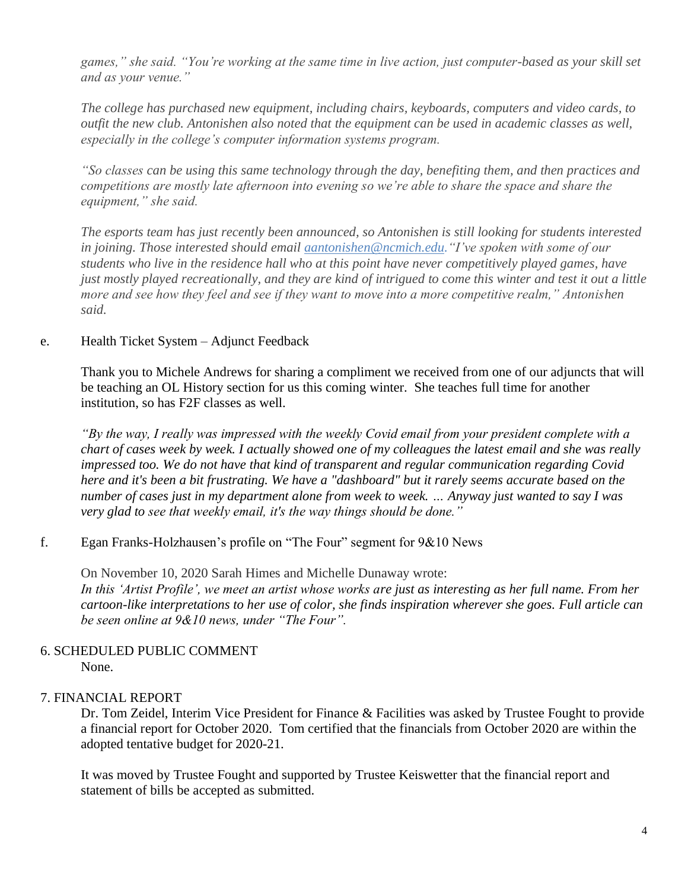*games," she said. "You're working at the same time in live action, just computer-based as your skill set and as your venue."*

*The college has purchased new equipment, including chairs, keyboards, computers and video cards, to outfit the new club. Antonishen also noted that the equipment can be used in academic classes as well, especially in the college's computer information systems program.*

*"So classes can be using this same technology through the day, benefiting them, and then practices and competitions are mostly late afternoon into evening so we're able to share the space and share the equipment," she said.*

*The esports team has just recently been announced, so Antonishen is still looking for students interested in joining. Those interested should email [aantonishen@ncmich.edu.](mailto:aantonishen@ncmich.edu)"I've spoken with some of our students who live in the residence hall who at this point have never competitively played games, have just mostly played recreationally, and they are kind of intrigued to come this winter and test it out a little more and see how they feel and see if they want to move into a more competitive realm," Antonishen said.*

### e. Health Ticket System – Adjunct Feedback

Thank you to Michele Andrews for sharing a compliment we received from one of our adjuncts that will be teaching an OL History section for us this coming winter. She teaches full time for another institution, so has F2F classes as well.

*"By the way, I really was impressed with the weekly Covid email from your president complete with a chart of cases week by week. I actually showed one of my colleagues the latest email and she was really impressed too. We do not have that kind of transparent and regular communication regarding Covid here and it's been a bit frustrating. We have a "dashboard" but it rarely seems accurate based on the number of cases just in my department alone from week to week. … Anyway just wanted to say I was very glad to see that weekly email, it's the way things should be done."*

# f. Egan Franks-Holzhausen's profile on "The Four" segment for 9&10 News

On November 10, 2020 Sarah Himes and Michelle Dunaway wrote: *In this 'Artist Profile', we meet an artist whose works are just as interesting as her full name. From her cartoon-like interpretations to her use of color, she finds inspiration wherever she goes. Full article can be seen online at 9&10 news, under "The Four".* 

#### 6. SCHEDULED PUBLIC COMMENT None.

# 7. FINANCIAL REPORT

Dr. Tom Zeidel, Interim Vice President for Finance & Facilities was asked by Trustee Fought to provide a financial report for October 2020. Tom certified that the financials from October 2020 are within the adopted tentative budget for 2020-21.

It was moved by Trustee Fought and supported by Trustee Keiswetter that the financial report and statement of bills be accepted as submitted.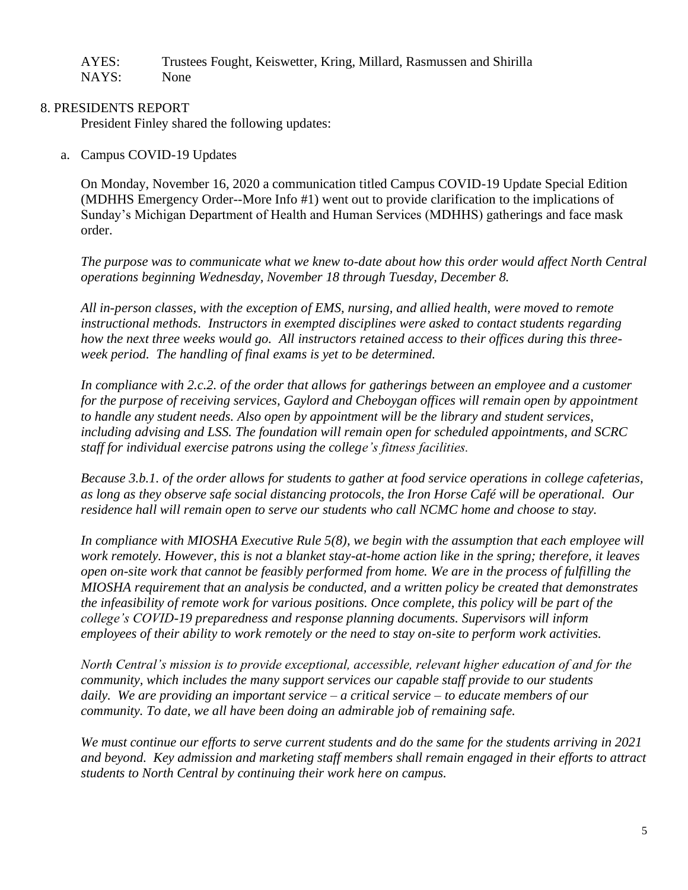| AYES: | Trustees Fought, Keiswetter, Kring, Millard, Rasmussen and Shirilla |
|-------|---------------------------------------------------------------------|
| NAYS: | None                                                                |

### 8. PRESIDENTS REPORT

President Finley shared the following updates:

a. Campus COVID-19 Updates

On Monday, November 16, 2020 a communication titled Campus COVID-19 Update Special Edition (MDHHS Emergency Order--More Info #1) went out to provide clarification to the implications of Sunday's Michigan Department of Health and Human Services (MDHHS) gatherings and face mask order.

*The purpose was to communicate what we knew to-date about how this order would affect North Central operations beginning Wednesday, November 18 through Tuesday, December 8.*

*All in-person classes, with the exception of EMS, nursing, and allied health, were moved to remote instructional methods. Instructors in exempted disciplines were asked to contact students regarding how the next three weeks would go. All instructors retained access to their offices during this threeweek period. The handling of final exams is yet to be determined.*

*In compliance with 2.c.2. of the order that allows for gatherings between an employee and a customer for the purpose of receiving services, Gaylord and Cheboygan offices will remain open by appointment to handle any student needs. Also open by appointment will be the library and student services, including advising and LSS. The foundation will remain open for scheduled appointments, and SCRC staff for individual exercise patrons using the college's fitness facilities.*

*Because 3.b.1. of the order allows for students to gather at food service operations in college cafeterias, as long as they observe safe social distancing protocols, the Iron Horse Café will be operational. Our residence hall will remain open to serve our students who call NCMC home and choose to stay.*

*In compliance with MIOSHA Executive Rule 5(8), we begin with the assumption that each employee will work remotely. However, this is not a blanket stay-at-home action like in the spring; therefore, it leaves open on-site work that cannot be feasibly performed from home. We are in the process of fulfilling the MIOSHA requirement that an analysis be conducted, and a written policy be created that demonstrates the infeasibility of remote work for various positions. Once complete, this policy will be part of the college's COVID-19 preparedness and response planning documents. Supervisors will inform employees of their ability to work remotely or the need to stay on-site to perform work activities.*

*North Central's mission is to provide exceptional, accessible, relevant higher education of and for the community, which includes the many support services our capable staff provide to our students daily. We are providing an important service – a critical service – to educate members of our community. To date, we all have been doing an admirable job of remaining safe.* 

*We must continue our efforts to serve current students and do the same for the students arriving in 2021 and beyond. Key admission and marketing staff members shall remain engaged in their efforts to attract students to North Central by continuing their work here on campus.*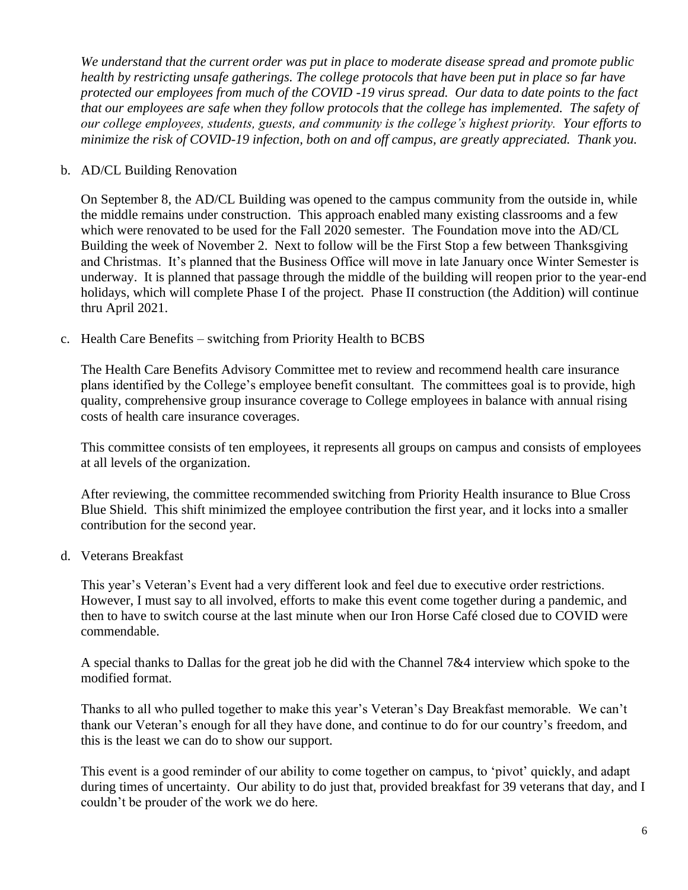*We understand that the current order was put in place to moderate disease spread and promote public health by restricting unsafe gatherings. The college protocols that have been put in place so far have protected our employees from much of the COVID -19 virus spread. Our data to date points to the fact that our employees are safe when they follow protocols that the college has implemented. The safety of our college employees, students, guests, and community is the college's highest priority. Your efforts to minimize the risk of COVID-19 infection, both on and off campus, are greatly appreciated. Thank you.*

#### b. AD/CL Building Renovation

On September 8, the AD/CL Building was opened to the campus community from the outside in, while the middle remains under construction. This approach enabled many existing classrooms and a few which were renovated to be used for the Fall 2020 semester. The Foundation move into the AD/CL Building the week of November 2. Next to follow will be the First Stop a few between Thanksgiving and Christmas. It's planned that the Business Office will move in late January once Winter Semester is underway. It is planned that passage through the middle of the building will reopen prior to the year-end holidays, which will complete Phase I of the project. Phase II construction (the Addition) will continue thru April 2021.

c. Health Care Benefits – switching from Priority Health to BCBS

The Health Care Benefits Advisory Committee met to review and recommend health care insurance plans identified by the College's employee benefit consultant. The committees goal is to provide, high quality, comprehensive group insurance coverage to College employees in balance with annual rising costs of health care insurance coverages.

This committee consists of ten employees, it represents all groups on campus and consists of employees at all levels of the organization.

After reviewing, the committee recommended switching from Priority Health insurance to Blue Cross Blue Shield. This shift minimized the employee contribution the first year, and it locks into a smaller contribution for the second year.

d. Veterans Breakfast

This year's Veteran's Event had a very different look and feel due to executive order restrictions. However, I must say to all involved, efforts to make this event come together during a pandemic, and then to have to switch course at the last minute when our Iron Horse Café closed due to COVID were commendable.

A special thanks to Dallas for the great job he did with the Channel 7&4 interview which spoke to the modified format.

Thanks to all who pulled together to make this year's Veteran's Day Breakfast memorable. We can't thank our Veteran's enough for all they have done, and continue to do for our country's freedom, and this is the least we can do to show our support.

This event is a good reminder of our ability to come together on campus, to 'pivot' quickly, and adapt during times of uncertainty. Our ability to do just that, provided breakfast for 39 veterans that day, and I couldn't be prouder of the work we do here.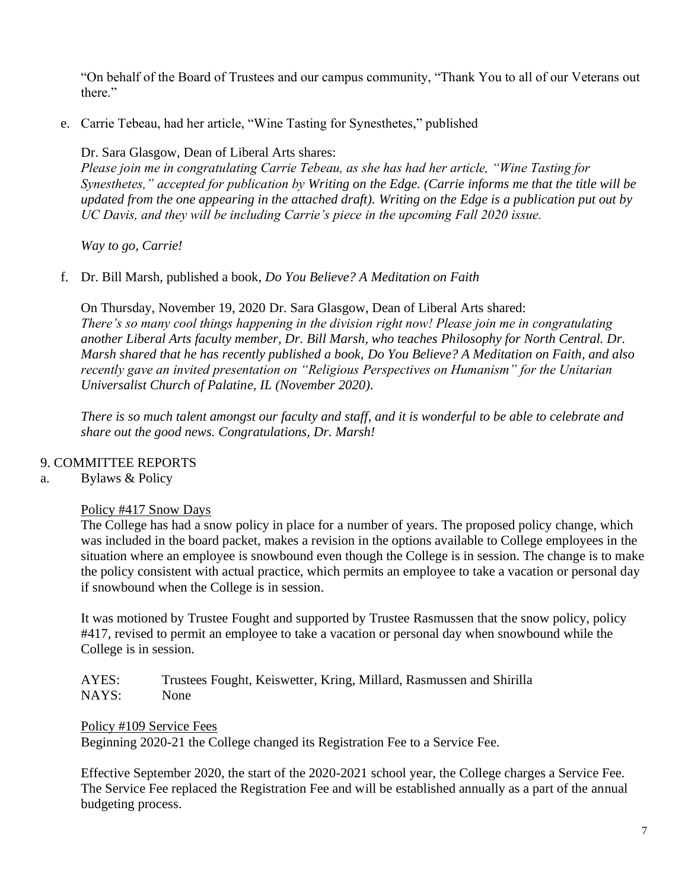"On behalf of the Board of Trustees and our campus community, "Thank You to all of our Veterans out there."

e. Carrie Tebeau, had her article, "Wine Tasting for Synesthetes," published

Dr. Sara Glasgow, Dean of Liberal Arts shares:

*Please join me in congratulating Carrie Tebeau, as she has had her article, "Wine Tasting for Synesthetes," accepted for publication by Writing on the Edge. (Carrie informs me that the title will be updated from the one appearing in the attached draft). Writing on the Edge is a publication put out by UC Davis, and they will be including Carrie's piece in the upcoming Fall 2020 issue.*

*Way to go, Carrie!*

f. Dr. Bill Marsh, published a book, *Do You Believe? A Meditation on Faith*

On Thursday, November 19, 2020 Dr. Sara Glasgow, Dean of Liberal Arts shared: *There's so many cool things happening in the division right now! Please join me in congratulating another Liberal Arts faculty member, Dr. Bill Marsh, who teaches Philosophy for North Central. Dr. Marsh shared that he has recently published a book, Do You Believe? A Meditation on Faith, and also recently gave an invited presentation on "Religious Perspectives on Humanism" for the Unitarian Universalist Church of Palatine, IL (November 2020).*

*There is so much talent amongst our faculty and staff, and it is wonderful to be able to celebrate and share out the good news. Congratulations, Dr. Marsh!*

# 9. COMMITTEE REPORTS

# a. Bylaws & Policy

Policy #417 Snow Days

The College has had a snow policy in place for a number of years. The proposed policy change, which was included in the board packet, makes a revision in the options available to College employees in the situation where an employee is snowbound even though the College is in session. The change is to make the policy consistent with actual practice, which permits an employee to take a vacation or personal day if snowbound when the College is in session.

It was motioned by Trustee Fought and supported by Trustee Rasmussen that the snow policy, policy #417, revised to permit an employee to take a vacation or personal day when snowbound while the College is in session.

AYES: Trustees Fought, Keiswetter, Kring, Millard, Rasmussen and Shirilla NAYS: None

Policy #109 Service Fees Beginning 2020-21 the College changed its Registration Fee to a Service Fee.

Effective September 2020, the start of the 2020-2021 school year, the College charges a Service Fee. The Service Fee replaced the Registration Fee and will be established annually as a part of the annual budgeting process.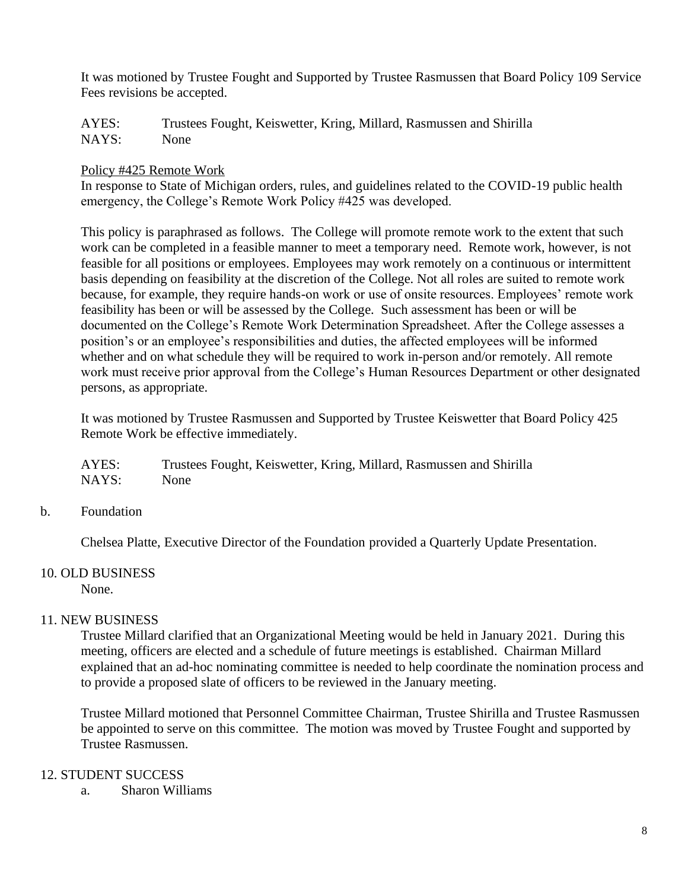It was motioned by Trustee Fought and Supported by Trustee Rasmussen that Board Policy 109 Service Fees revisions be accepted.

AYES: Trustees Fought, Keiswetter, Kring, Millard, Rasmussen and Shirilla NAYS: None

### Policy #425 Remote Work

In response to State of Michigan orders, rules, and guidelines related to the COVID-19 public health emergency, the College's Remote Work Policy #425 was developed.

This policy is paraphrased as follows. The College will promote remote work to the extent that such work can be completed in a feasible manner to meet a temporary need. Remote work, however, is not feasible for all positions or employees. Employees may work remotely on a continuous or intermittent basis depending on feasibility at the discretion of the College. Not all roles are suited to remote work because, for example, they require hands-on work or use of onsite resources. Employees' remote work feasibility has been or will be assessed by the College. Such assessment has been or will be documented on the College's Remote Work Determination Spreadsheet. After the College assesses a position's or an employee's responsibilities and duties, the affected employees will be informed whether and on what schedule they will be required to work in-person and/or remotely. All remote work must receive prior approval from the College's Human Resources Department or other designated persons, as appropriate.

It was motioned by Trustee Rasmussen and Supported by Trustee Keiswetter that Board Policy 425 Remote Work be effective immediately.

AYES: Trustees Fought, Keiswetter, Kring, Millard, Rasmussen and Shirilla NAYS: None

b. Foundation

Chelsea Platte, Executive Director of the Foundation provided a Quarterly Update Presentation.

#### 10. OLD BUSINESS

None.

# 11. NEW BUSINESS

Trustee Millard clarified that an Organizational Meeting would be held in January 2021. During this meeting, officers are elected and a schedule of future meetings is established. Chairman Millard explained that an ad-hoc nominating committee is needed to help coordinate the nomination process and to provide a proposed slate of officers to be reviewed in the January meeting.

Trustee Millard motioned that Personnel Committee Chairman, Trustee Shirilla and Trustee Rasmussen be appointed to serve on this committee. The motion was moved by Trustee Fought and supported by Trustee Rasmussen.

#### 12. STUDENT SUCCESS

a. Sharon Williams